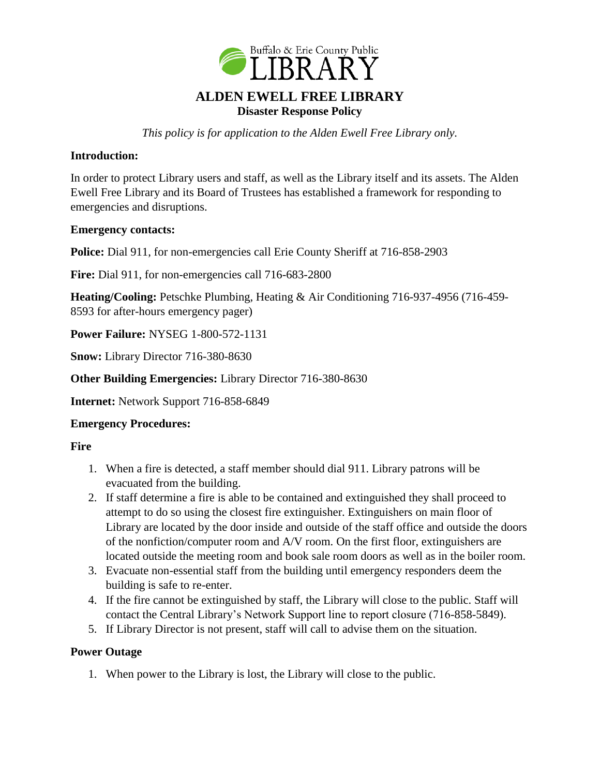

*This policy is for application to the Alden Ewell Free Library only.*

# **Introduction:**

In order to protect Library users and staff, as well as the Library itself and its assets. The Alden Ewell Free Library and its Board of Trustees has established a framework for responding to emergencies and disruptions.

#### **Emergency contacts:**

**Police:** Dial 911, for non-emergencies call Erie County Sheriff at 716-858-2903

**Fire:** Dial 911, for non-emergencies call 716-683-2800

**Heating/Cooling:** Petschke Plumbing, Heating & Air Conditioning 716-937-4956 (716-459- 8593 for after-hours emergency pager)

**Power Failure:** NYSEG 1-800-572-1131

**Snow:** Library Director 716-380-8630

**Other Building Emergencies:** Library Director 716-380-8630

**Internet:** Network Support 716-858-6849

# **Emergency Procedures:**

#### **Fire**

- 1. When a fire is detected, a staff member should dial 911. Library patrons will be evacuated from the building.
- 2. If staff determine a fire is able to be contained and extinguished they shall proceed to attempt to do so using the closest fire extinguisher. Extinguishers on main floor of Library are located by the door inside and outside of the staff office and outside the doors of the nonfiction/computer room and A/V room. On the first floor, extinguishers are located outside the meeting room and book sale room doors as well as in the boiler room.
- 3. Evacuate non-essential staff from the building until emergency responders deem the building is safe to re-enter.
- 4. If the fire cannot be extinguished by staff, the Library will close to the public. Staff will contact the Central Library's Network Support line to report closure (716-858-5849).
- 5. If Library Director is not present, staff will call to advise them on the situation.

# **Power Outage**

1. When power to the Library is lost, the Library will close to the public.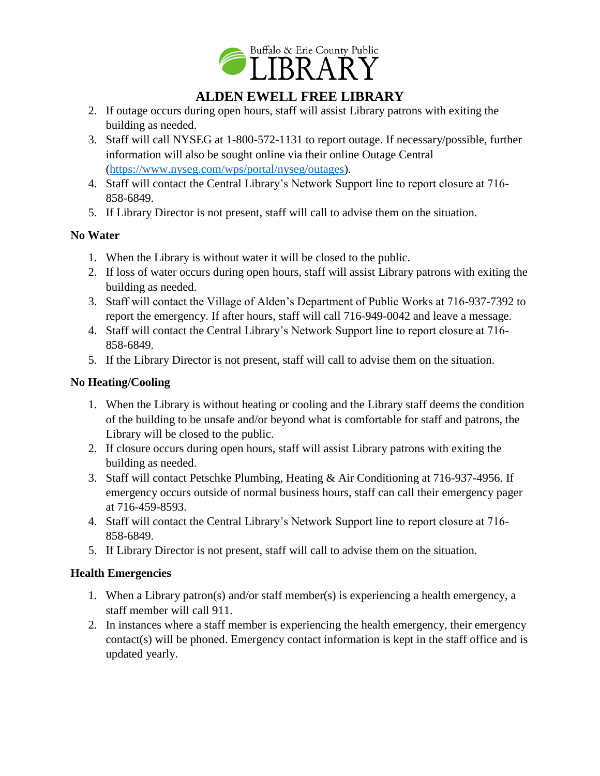

# **ALDEN EWELL FREE LIBRARY**

- 2. If outage occurs during open hours, staff will assist Library patrons with exiting the building as needed.
- 3. Staff will call NYSEG at 1-800-572-1131 to report outage. If necessary/possible, further information will also be sought online via their online Outage Central [\(https://www.nyseg.com/wps/portal/nyseg/outages\)](https://www.nyseg.com/wps/portal/nyseg/outages).
- 4. Staff will contact the Central Library's Network Support line to report closure at 716- 858-6849.
- 5. If Library Director is not present, staff will call to advise them on the situation.

# **No Water**

- 1. When the Library is without water it will be closed to the public.
- 2. If loss of water occurs during open hours, staff will assist Library patrons with exiting the building as needed.
- 3. Staff will contact the Village of Alden's Department of Public Works at 716-937-7392 to report the emergency. If after hours, staff will call 716-949-0042 and leave a message.
- 4. Staff will contact the Central Library's Network Support line to report closure at 716- 858-6849.
- 5. If the Library Director is not present, staff will call to advise them on the situation.

# **No Heating/Cooling**

- 1. When the Library is without heating or cooling and the Library staff deems the condition of the building to be unsafe and/or beyond what is comfortable for staff and patrons, the Library will be closed to the public.
- 2. If closure occurs during open hours, staff will assist Library patrons with exiting the building as needed.
- 3. Staff will contact Petschke Plumbing, Heating & Air Conditioning at 716-937-4956. If emergency occurs outside of normal business hours, staff can call their emergency pager at 716-459-8593.
- 4. Staff will contact the Central Library's Network Support line to report closure at 716- 858-6849.
- 5. If Library Director is not present, staff will call to advise them on the situation.

# **Health Emergencies**

- 1. When a Library patron(s) and/or staff member(s) is experiencing a health emergency, a staff member will call 911.
- 2. In instances where a staff member is experiencing the health emergency, their emergency contact(s) will be phoned. Emergency contact information is kept in the staff office and is updated yearly.